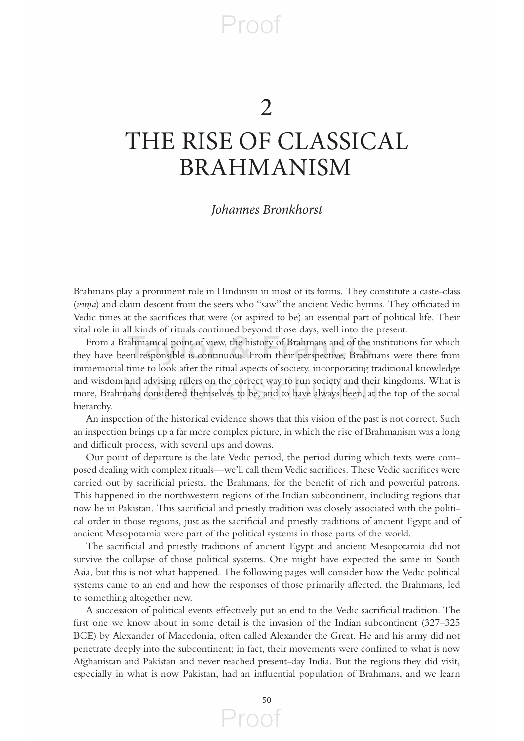## Proof

### 2

# THE RISE OF CLASSICAL BRAHMANISM

### *Johannes Bronkhorst*

 Brahmans play a prominent role in Hinduism in most of its forms. They constitute a caste- class (*vama*) and claim descent from the seers who "saw" the ancient Vedic hymns. They officiated in Vedic times at the sacrifices that were (or aspired to be) an essential part of political life. Their vital role in all kinds of rituals continued beyond those days, well into the present.

 From a Brahmanical point of view, the history of Brahmans and of the institutions for which they have been responsible is continuous. From their perspective, Brahmans were there from immemorial time to look after the ritual aspects of society, incorporating traditional knowledge and wisdom and advising rulers on the correct way to run society and their kingdoms. What is more, Brahmans considered themselves to be, and to have always been, at the top of the social hierarchy.

 An inspection of the historical evidence shows that this vision of the past is not correct. Such an inspection brings up a far more complex picture, in which the rise of Brahmanism was a long and difficult process, with several ups and downs.

 Our point of departure is the late Vedic period, the period during which texts were composed dealing with complex rituals—we'll call them Vedic sacrifices. These Vedic sacrifices were carried out by sacrificial priests, the Brahmans, for the benefit of rich and powerful patrons. This happened in the northwestern regions of the Indian subcontinent, including regions that now lie in Pakistan. This sacrificial and priestly tradition was closely associated with the political order in those regions, just as the sacrificial and priestly traditions of ancient Egypt and of ancient Mesopotamia were part of the political systems in those parts of the world.

The sacrificial and priestly traditions of ancient Egypt and ancient Mesopotamia did not survive the collapse of those political systems. One might have expected the same in South Asia, but this is not what happened. The following pages will consider how the Vedic political systems came to an end and how the responses of those primarily affected, the Brahmans, led to something altogether new.

A succession of political events effectively put an end to the Vedic sacrificial tradition. The first one we know about in some detail is the invasion of the Indian subcontinent  $(327-325)$ BCE) by Alexander of Macedonia, often called Alexander the Great. He and his army did not penetrate deeply into the subcontinent; in fact, their movements were confined to what is now Afghanistan and Pakistan and never reached present- day India. But the regions they did visit, especially in what is now Pakistan, had an influential population of Brahmans, and we learn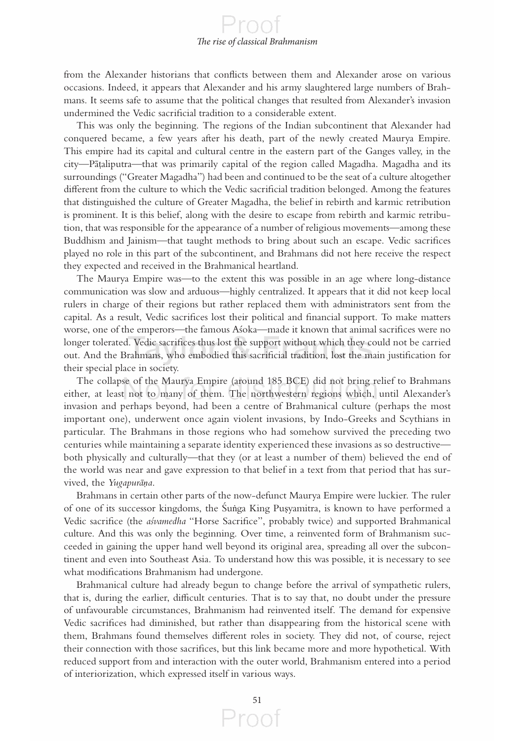from the Alexander historians that conflicts between them and Alexander arose on various occasions. Indeed, it appears that Alexander and his army slaughtered large numbers of Brahmans. It seems safe to assume that the political changes that resulted from Alexander's invasion undermined the Vedic sacrificial tradition to a considerable extent.

 This was only the beginning. The regions of the Indian subcontinent that Alexander had conquered became, a few years after his death, part of the newly created Maurya Empire. This empire had its capital and cultural centre in the eastern part of the Ganges valley, in the city—Pāṭaliputra—that was primarily capital of the region called Magadha. Magadha and its surroundings ("Greater Magadha") had been and continued to be the seat of a culture altogether different from the culture to which the Vedic sacrificial tradition belonged. Among the features that distinguished the culture of Greater Magadha, the belief in rebirth and karmic retribution is prominent. It is this belief, along with the desire to escape from rebirth and karmic retribution, that was responsible for the appearance of a number of religious movements—among these Buddhism and Jainism—that taught methods to bring about such an escape. Vedic sacrifices played no role in this part of the subcontinent, and Brahmans did not here receive the respect they expected and received in the Brahmanical heartland.

 The Maurya Empire was—to the extent this was possible in an age where long- distance communication was slow and arduous—highly centralized. It appears that it did not keep local rulers in charge of their regions but rather replaced them with administrators sent from the capital. As a result, Vedic sacrifices lost their political and financial support. To make matters worse, one of the emperors—the famous Aśoka—made it known that animal sacrifices were no longer tolerated. Vedic sacrifices thus lost the support without which they could not be carried out. And the Brahmans, who embodied this sacrificial tradition, lost the main justification for their special place in society.

 The collapse of the Maurya Empire (around 185 BCE) did not bring relief to Brahmans either, at least not to many of them. The northwestern regions which, until Alexander's invasion and perhaps beyond, had been a centre of Brahmanical culture (perhaps the most important one), underwent once again violent invasions, by Indo- Greeks and Scythians in particular. The Brahmans in those regions who had somehow survived the preceding two centuries while maintaining a separate identity experienced these invasions as so destructive both physically and culturally—that they (or at least a number of them) believed the end of the world was near and gave expression to that belief in a text from that period that has survived, the *Yugapurāṇa* .

 Brahmans in certain other parts of the now- defunct Maurya Empire were luckier. The ruler of one of its successor kingdoms, the Śuṅga King Puṣyamitra, is known to have performed a Vedic sacrifice (the *aśvamedha* "Horse Sacrifice", probably twice) and supported Brahmanical culture. And this was only the beginning. Over time, a reinvented form of Brahmanism succeeded in gaining the upper hand well beyond its original area, spreading all over the subcontinent and even into Southeast Asia. To understand how this was possible, it is necessary to see what modifications Brahmanism had undergone.

 Brahmanical culture had already begun to change before the arrival of sympathetic rulers, that is, during the earlier, difficult centuries. That is to say that, no doubt under the pressure of unfavourable circumstances, Brahmanism had reinvented itself. The demand for expensive Vedic sacrifices had diminished, but rather than disappearing from the historical scene with them, Brahmans found themselves different roles in society. They did not, of course, reject their connection with those sacrifices, but this link became more and more hypothetical. With reduced support from and interaction with the outer world, Brahmanism entered into a period of interiorization, which expressed itself in various ways.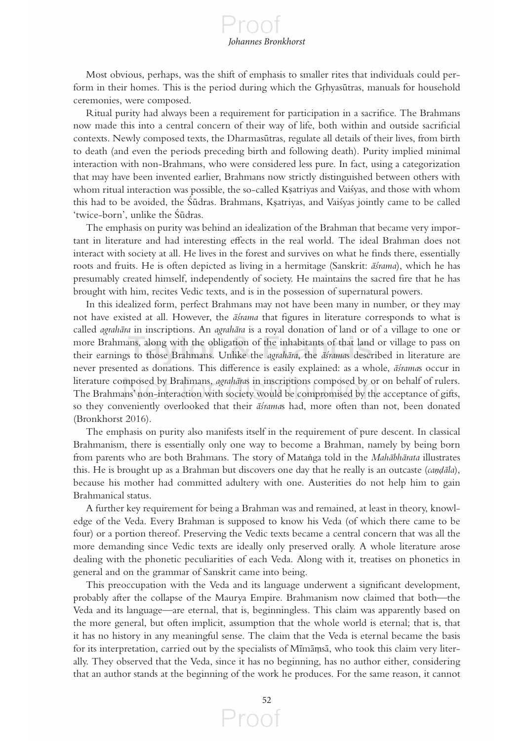Most obvious, perhaps, was the shift of emphasis to smaller rites that individuals could perform in their homes. This is the period during which the Gṛhyasūtras, manuals for household ceremonies, were composed.

Ritual purity had always been a requirement for participation in a sacrifice. The Brahmans now made this into a central concern of their way of life, both within and outside sacrificial contexts. Newly composed texts, the Dharmasūtras, regulate all details of their lives, from birth to death (and even the periods preceding birth and following death). Purity implied minimal interaction with non-Brahmans, who were considered less pure. In fact, using a categorization that may have been invented earlier, Brahmans now strictly distinguished between others with whom ritual interaction was possible, the so-called Kṣatriyas and Vaiśyas, and those with whom this had to be avoided, the Śūdras. Brahmans, Kṣatriyas, and Vaiśyas jointly came to be called 'twice-born', unlike the Śūdras.

 The emphasis on purity was behind an idealization of the Brahman that became very important in literature and had interesting effects in the real world. The ideal Brahman does not interact with society at all. He lives in the forest and survives on what he finds there, essentially roots and fruits. He is often depicted as living in a hermitage (Sanskrit:  $\vec{a}$ *srama*), which he has presumably created himself, independently of society. He maintains the sacred fire that he has brought with him, recites Vedic texts, and is in the possession of supernatural powers.

 In this idealized form, perfect Brahmans may not have been many in number, or they may not have existed at all. However, the *āśrama* that figures in literature corresponds to what is called *agrahāra* in inscriptions. An *agrahāra* is a royal donation of land or of a village to one or more Brahmans, along with the obligation of the inhabitants of that land or village to pass on their earnings to those Brahmans. Unlike the *agrahāra* , the *āśrama* s described in literature are never presented as donations. This difference is easily explained: as a whole, *āśrama*s occur in literature composed by Brahmans, *agrahāra* s in inscriptions composed by or on behalf of rulers. The Brahmans' non-interaction with society would be compromised by the acceptance of gifts, so they conveniently overlooked that their *āśrama* s had, more often than not, been donated (Bronkhorst 2016).

 The emphasis on purity also manifests itself in the requirement of pure descent. In classical Brahmanism, there is essentially only one way to become a Brahman, namely by being born from parents who are both Brahmans. The story of Mataṅga told in the *Mahābhārata* illustrates this. He is brought up as a Brahman but discovers one day that he really is an outcaste ( *caṇḍāla* ), because his mother had committed adultery with one. Austerities do not help him to gain Brahmanical status.

 A further key requirement for being a Brahman was and remained, at least in theory, knowledge of the Veda. Every Brahman is supposed to know his Veda (of which there came to be four) or a portion thereof. Preserving the Vedic texts became a central concern that was all the more demanding since Vedic texts are ideally only preserved orally. A whole literature arose dealing with the phonetic peculiarities of each Veda. Along with it, treatises on phonetics in general and on the grammar of Sanskrit came into being.

This preoccupation with the Veda and its language underwent a significant development, probably after the collapse of the Maurya Empire. Brahmanism now claimed that both—the Veda and its language—are eternal, that is, beginningless. This claim was apparently based on the more general, but often implicit, assumption that the whole world is eternal; that is, that it has no history in any meaningful sense. The claim that the Veda is eternal became the basis for its interpretation, carried out by the specialists of Mīmāṃsā, who took this claim very literally. They observed that the Veda, since it has no beginning, has no author either, considering that an author stands at the beginning of the work he produces. For the same reason, it cannot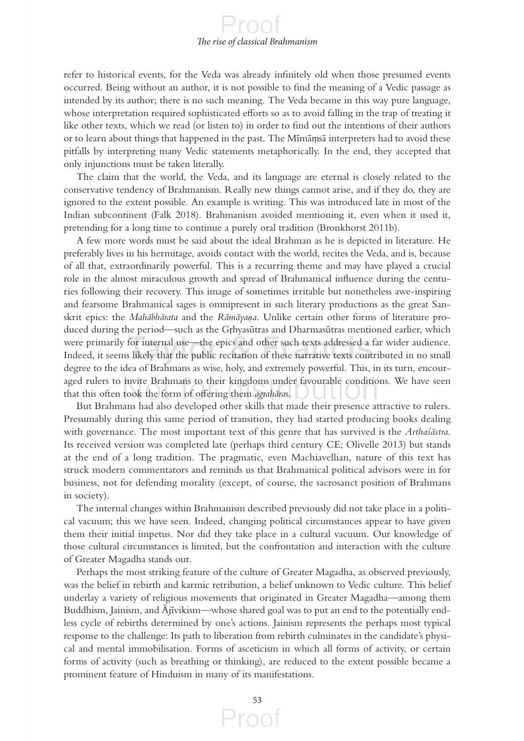# *The rise of classical Brahmanism*

refer to historical events, for the Veda was already infinitely old when those presumed events occurred. Being without an author, it is not possible to find the meaning of a Vedic passage as intended by its author; there is no such meaning. The Veda became in this way pure language, whose interpretation required sophisticated efforts so as to avoid falling in the trap of treating it like other texts, which we read (or listen to) in order to find out the intentions of their authors or to learn about things that happened in the past. The Mīmāṃsā interpreters had to avoid these pitfalls by interpreting many Vedic statements metaphorically. In the end, they accepted that only injunctions must be taken literally.

 The claim that the world, the Veda, and its language are eternal is closely related to the conservative tendency of Brahmanism. Really new things cannot arise, and if they do, they are ignored to the extent possible. An example is writing. This was introduced late in most of the Indian subcontinent (Falk 2018). Brahmanism avoided mentioning it, even when it used it, pretending for a long time to continue a purely oral tradition (Bronkhorst 2011b).

 A few more words must be said about the ideal Brahman as he is depicted in literature. He preferably lives in his hermitage, avoids contact with the world, recites the Veda, and is, because of all that, extraordinarily powerful. This is a recurring theme and may have played a crucial role in the almost miraculous growth and spread of Brahmanical influence during the centuries following their recovery. This image of sometimes irritable but nonetheless awe- inspiring and fearsome Brahmanical sages is omnipresent in such literary productions as the great Sanskrit epics: the *Mahābhārata* and the *Rāmāyaṇa* . Unlike certain other forms of literature produced during the period—such as the Gṛhyasūtras and Dharmasūtras mentioned earlier, which were primarily for internal use—the epics and other such texts addressed a far wider audience. Indeed, it seems likely that the public recitation of these narrative texts contributed in no small degree to the idea of Brahmans as wise, holy, and extremely powerful. This, in its turn, encouraged rulers to invite Brahmans to their kingdoms under favourable conditions. We have seen that this often took the form of offering them *agrahāras*.

 But Brahmans had also developed other skills that made their presence attractive to rulers. Presumably during this same period of transition, they had started producing books dealing with governance. The most important text of this genre that has survived is the *Arthaśāstra* . Its received version was completed late (perhaps third century CE; Olivelle 2013 ) but stands at the end of a long tradition. The pragmatic, even Machiavellian, nature of this text has struck modern commentators and reminds us that Brahmanical political advisors were in for business, not for defending morality (except, of course, the sacrosanct position of Brahmans in society).

 The internal changes within Brahmanism described previously did not take place in a political vacuum; this we have seen. Indeed, changing political circumstances appear to have given them their initial impetus. Nor did they take place in a cultural vacuum. Our knowledge of those cultural circumstances is limited, but the confrontation and interaction with the culture of Greater Magadha stands out.

 Perhaps the most striking feature of the culture of Greater Magadha, as observed previously, was the belief in rebirth and karmic retribution, a belief unknown to Vedic culture. This belief underlay a variety of religious movements that originated in Greater Magadha—among them Buddhism, Jainism, and Ājīvikism—whose shared goal was to put an end to the potentially endless cycle of rebirths determined by one's actions. Jainism represents the perhaps most typical response to the challenge: Its path to liberation from rebirth culminates in the candidate's physical and mental immobilisation. Forms of asceticism in which all forms of activity, or certain forms of activity (such as breathing or thinking), are reduced to the extent possible became a prominent feature of Hinduism in many of its manifestations.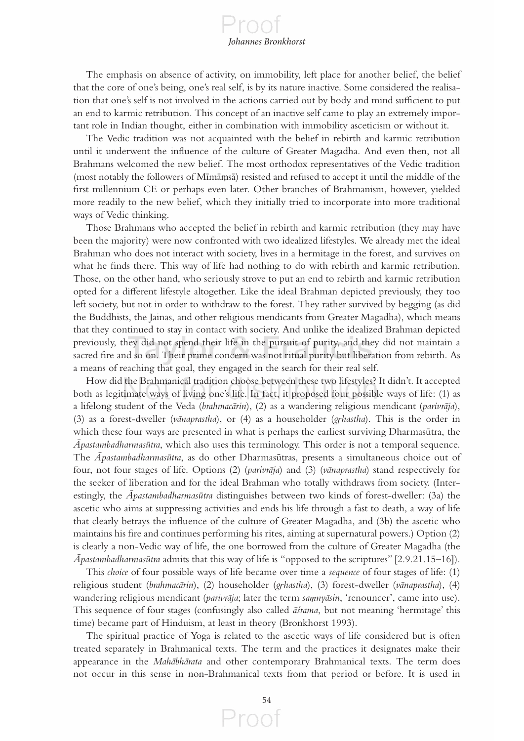### *Johannes Bronkhorst*

 The emphasis on absence of activity, on immobility, left place for another belief, the belief that the core of one's being, one's real self, is by its nature inactive. Some considered the realisation that one's self is not involved in the actions carried out by body and mind sufficient to put an end to karmic retribution. This concept of an inactive self came to play an extremely important role in Indian thought, either in combination with immobility asceticism or without it.

 The Vedic tradition was not acquainted with the belief in rebirth and karmic retribution until it underwent the influence of the culture of Greater Magadha. And even then, not all Brahmans welcomed the new belief. The most orthodox representatives of the Vedic tradition (most notably the followers of Mīmāṃsā) resisted and refused to accept it until the middle of the first millennium CE or perhaps even later. Other branches of Brahmanism, however, yielded more readily to the new belief, which they initially tried to incorporate into more traditional ways of Vedic thinking.

 Those Brahmans who accepted the belief in rebirth and karmic retribution (they may have been the majority) were now confronted with two idealized lifestyles. We already met the ideal Brahman who does not interact with society, lives in a hermitage in the forest, and survives on what he finds there. This way of life had nothing to do with rebirth and karmic retribution. Those, on the other hand, who seriously strove to put an end to rebirth and karmic retribution opted for a different lifestyle altogether. Like the ideal Brahman depicted previously, they too left society, but not in order to withdraw to the forest. They rather survived by begging (as did the Buddhists, the Jainas, and other religious mendicants from Greater Magadha), which means that they continued to stay in contact with society. And unlike the idealized Brahman depicted previously, they did not spend their life in the pursuit of purity, and they did not maintain a sacred fire and so on. Their prime concern was not ritual purity but liberation from rebirth. As a means of reaching that goal, they engaged in the search for their real self.

 How did the Brahmanical tradition choose between these two lifestyles? It didn't. It accepted both as legitimate ways of living one's life. In fact, it proposed four possible ways of life: (1) as a lifelong student of the Veda (*brahmacārin*), (2) as a wandering religious mendicant (*parivrāja*), (3) as a forest- dweller ( *vānaprastha* ), or (4) as a householder ( *gṛhastha* ). This is the order in which these four ways are presented in what is perhaps the earliest surviving Dharmasūtra, the *Āpastambadharmasūtra* , which also uses this terminology. This order is not a temporal sequence. The *Āpastambadharmasūtra* , as do other Dharmasūtras, presents a simultaneous choice out of four, not four stages of life. Options (2) ( *parivrāja* ) and (3) ( *vānaprastha* ) stand respectively for the seeker of liberation and for the ideal Brahman who totally withdraws from society. (Interestingly, the *Āpastambadharmasūtra* distinguishes between two kinds of forest- dweller: (3a) the ascetic who aims at suppressing activities and ends his life through a fast to death, a way of life that clearly betrays the influence of the culture of Greater Magadha, and (3b) the ascetic who maintains his fire and continues performing his rites, aiming at supernatural powers.) Option (2) is clearly a non- Vedic way of life, the one borrowed from the culture of Greater Magadha (the *Āpastambadharmasūtra* admits that this way of life is "opposed to the scriptures" [2.9.21.15–16]).

 This *choice* of four possible ways of life became over time a *sequence* of four stages of life: (1) religious student ( *brahmacārin* ), (2) householder ( *gṛhastha* ), (3) forest- dweller ( *vānaprastha* ), (4) wandering religious mendicant ( *parivrāja* ; later the term *saṃnyāsin* , 'renouncer', came into use). This sequence of four stages (confusingly also called *āśrama* , but not meaning 'hermitage' this time) became part of Hinduism, at least in theory (Bronkhorst 1993).

 The spiritual practice of Yoga is related to the ascetic ways of life considered but is often treated separately in Brahmanical texts. The term and the practices it designates make their appearance in the *Mahābhārata* and other contemporary Brahmanical texts. The term does not occur in this sense in non- Brahmanical texts from that period or before. It is used in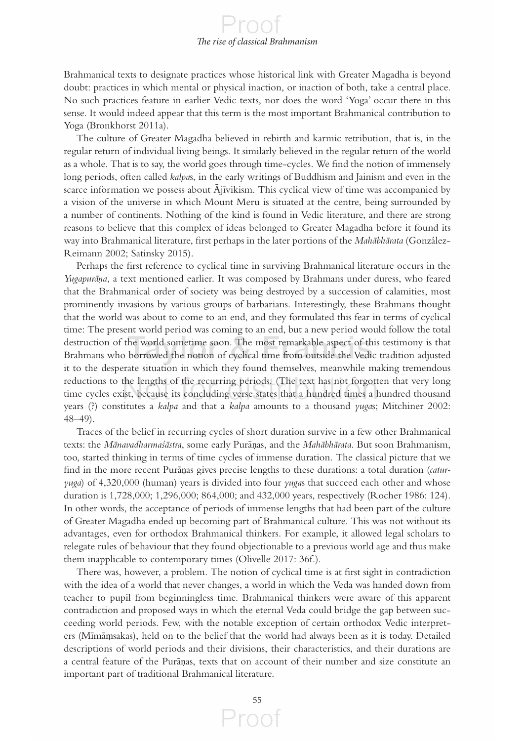# *The rise of classical Brahmanism*

Brahmanical texts to designate practices whose historical link with Greater Magadha is beyond doubt: practices in which mental or physical inaction, or inaction of both, take a central place. No such practices feature in earlier Vedic texts, nor does the word 'Yoga' occur there in this sense. It would indeed appear that this term is the most important Brahmanical contribution to Yoga (Bronkhorst 2011a).

 The culture of Greater Magadha believed in rebirth and karmic retribution, that is, in the regular return of individual living beings. It similarly believed in the regular return of the world as a whole. That is to say, the world goes through time-cycles. We find the notion of immensely long periods, often called *kalpa*s, in the early writings of Buddhism and Jainism and even in the scarce information we possess about Ājīvikism. This cyclical view of time was accompanied by a vision of the universe in which Mount Meru is situated at the centre, being surrounded by a number of continents. Nothing of the kind is found in Vedic literature, and there are strong reasons to believe that this complex of ideas belonged to Greater Magadha before it found its way into Brahmanical literature, first perhaps in the later portions of the *Mahābhārata* (González-Reimann 2002; Satinsky 2015).

Perhaps the first reference to cyclical time in surviving Brahmanical literature occurs in the *Yugapurāṇa* , a text mentioned earlier. It was composed by Brahmans under duress, who feared that the Brahmanical order of society was being destroyed by a succession of calamities, most prominently invasions by various groups of barbarians. Interestingly, these Brahmans thought that the world was about to come to an end, and they formulated this fear in terms of cyclical time: The present world period was coming to an end, but a new period would follow the total destruction of the world sometime soon. The most remarkable aspect of this testimony is that Brahmans who borrowed the notion of cyclical time from outside the Vedic tradition adjusted it to the desperate situation in which they found themselves, meanwhile making tremendous reductions to the lengths of the recurring periods. (The text has not forgotten that very long time cycles exist, because its concluding verse states that a hundred times a hundred thousand years (?) constitutes a *kalpa* and that a *kalpa* amounts to a thousand *yuga*s; Mitchiner 2002: 48–49).

 Traces of the belief in recurring cycles of short duration survive in a few other Brahmanical texts: the *Mānavadharmaśāstra* , some early Purāṇas, and the *Mahābhārata* . But soon Brahmanism, too, started thinking in terms of time cycles of immense duration. The classical picture that we find in the more recent Purāņas gives precise lengths to these durations: a total duration (catur*yuga* ) of 4,320,000 (human) years is divided into four *yuga* s that succeed each other and whose duration is 1,728,000; 1,296,000; 864,000; and 432,000 years, respectively (Rocher 1986: 124). In other words, the acceptance of periods of immense lengths that had been part of the culture of Greater Magadha ended up becoming part of Brahmanical culture. This was not without its advantages, even for orthodox Brahmanical thinkers. For example, it allowed legal scholars to relegate rules of behaviour that they found objectionable to a previous world age and thus make them inapplicable to contemporary times (Olivelle 2017: 36f.).

There was, however, a problem. The notion of cyclical time is at first sight in contradiction with the idea of a world that never changes, a world in which the Veda was handed down from teacher to pupil from beginningless time. Brahmanical thinkers were aware of this apparent contradiction and proposed ways in which the eternal Veda could bridge the gap between succeeding world periods. Few, with the notable exception of certain orthodox Vedic interpreters (Mīmāṃsakas), held on to the belief that the world had always been as it is today. Detailed descriptions of world periods and their divisions, their characteristics, and their durations are a central feature of the Purāṇas, texts that on account of their number and size constitute an important part of traditional Brahmanical literature.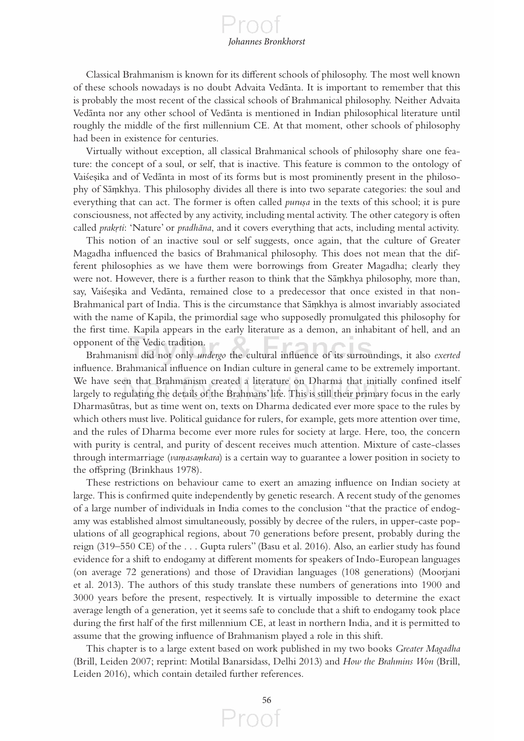## *Johannes Bronkhorst*

Classical Brahmanism is known for its different schools of philosophy. The most well known of these schools nowadays is no doubt Advaita Vedānta. It is important to remember that this is probably the most recent of the classical schools of Brahmanical philosophy. Neither Advaita Vedānta nor any other school of Vedānta is mentioned in Indian philosophical literature until roughly the middle of the first millennium CE. At that moment, other schools of philosophy had been in existence for centuries.

 Virtually without exception, all classical Brahmanical schools of philosophy share one feature: the concept of a soul, or self, that is inactive. This feature is common to the ontology of Vaiśesika and of Vedānta in most of its forms but is most prominently present in the philosophy of Sāṃkhya. This philosophy divides all there is into two separate categories: the soul and everything that can act. The former is often called *puruṣa* in the texts of this school; it is pure consciousness, not affected by any activity, including mental activity. The other category is often called *prakṛti* : 'Nature' or *pradhāna* , and it covers everything that acts, including mental activity.

 This notion of an inactive soul or self suggests, once again, that the culture of Greater Magadha influenced the basics of Brahmanical philosophy. This does not mean that the different philosophies as we have them were borrowings from Greater Magadha; clearly they were not. However, there is a further reason to think that the Sāṃkhya philosophy, more than, say, Vaiśeṣika and Vedānta, remained close to a predecessor that once existed in that non-Brahmanical part of India. This is the circumstance that Sāṃkhya is almost invariably associated with the name of Kapila, the primordial sage who supposedly promulgated this philosophy for the first time. Kapila appears in the early literature as a demon, an inhabitant of hell, and an opponent of the Vedic tradition.

Brahmanism did not only *undergo* the cultural influence of its surroundings, it also *exerted* influence. Brahmanical influence on Indian culture in general came to be extremely important. We have seen that Brahmanism created a literature on Dharma that initially confined itself largely to regulating the details of the Brahmans' life. This is still their primary focus in the early Dharmasūtras, but as time went on, texts on Dharma dedicated ever more space to the rules by which others must live. Political guidance for rulers, for example, gets more attention over time, and the rules of Dharma become ever more rules for society at large. Here, too, the concern with purity is central, and purity of descent receives much attention. Mixture of caste-classes through intermarriage ( *varṇasaṃkara* ) is a certain way to guarantee a lower position in society to the offspring (Brinkhaus 1978).

These restrictions on behaviour came to exert an amazing influence on Indian society at large. This is confirmed quite independently by genetic research. A recent study of the genomes of a large number of individuals in India comes to the conclusion "that the practice of endogamy was established almost simultaneously, possibly by decree of the rulers, in upper- caste populations of all geographical regions, about 70 generations before present, probably during the reign (319–550 CE) of the . . . Gupta rulers" (Basu et al. 2016). Also, an earlier study has found evidence for a shift to endogamy at different moments for speakers of Indo-European languages (on average 72 generations) and those of Dravidian languages (108 generations) ( Moorjani et al. 2013 ). The authors of this study translate these numbers of generations into 1900 and 3000 years before the present, respectively. It is virtually impossible to determine the exact average length of a generation, yet it seems safe to conclude that a shift to endogamy took place during the first half of the first millennium CE, at least in northern India, and it is permitted to assume that the growing influence of Brahmanism played a role in this shift.

 This chapter is to a large extent based on work published in my two books *Greater Magadha* (Brill, Leiden 2007; reprint: Motilal Banarsidass, Delhi 2013) and *How the Brahmins Won* (Brill, Leiden 2016), which contain detailed further references.